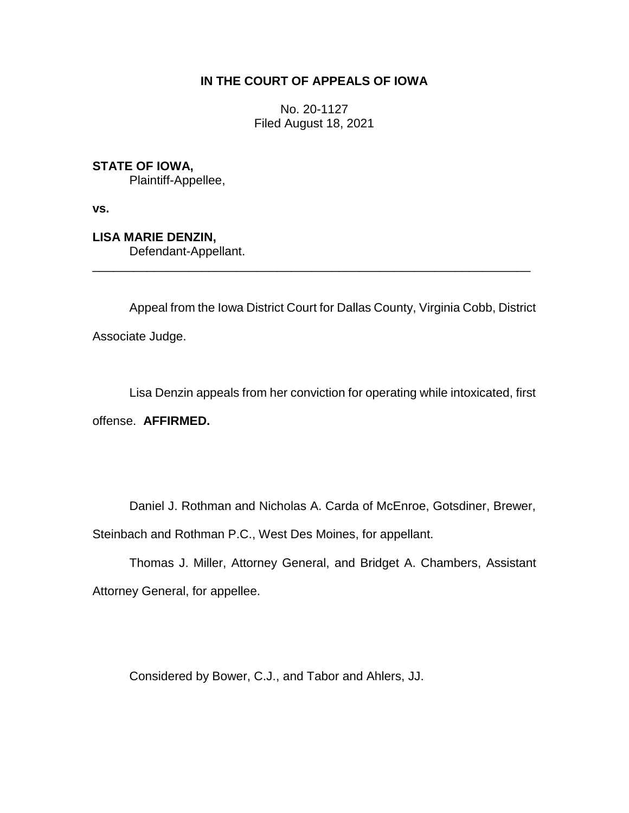# **IN THE COURT OF APPEALS OF IOWA**

No. 20-1127 Filed August 18, 2021

**STATE OF IOWA,**

Plaintiff-Appellee,

**vs.**

**LISA MARIE DENZIN,** Defendant-Appellant.

Appeal from the Iowa District Court for Dallas County, Virginia Cobb, District

\_\_\_\_\_\_\_\_\_\_\_\_\_\_\_\_\_\_\_\_\_\_\_\_\_\_\_\_\_\_\_\_\_\_\_\_\_\_\_\_\_\_\_\_\_\_\_\_\_\_\_\_\_\_\_\_\_\_\_\_\_\_\_\_

Associate Judge.

Lisa Denzin appeals from her conviction for operating while intoxicated, first

offense. **AFFIRMED.**

Daniel J. Rothman and Nicholas A. Carda of McEnroe, Gotsdiner, Brewer, Steinbach and Rothman P.C., West Des Moines, for appellant.

Thomas J. Miller, Attorney General, and Bridget A. Chambers, Assistant Attorney General, for appellee.

Considered by Bower, C.J., and Tabor and Ahlers, JJ.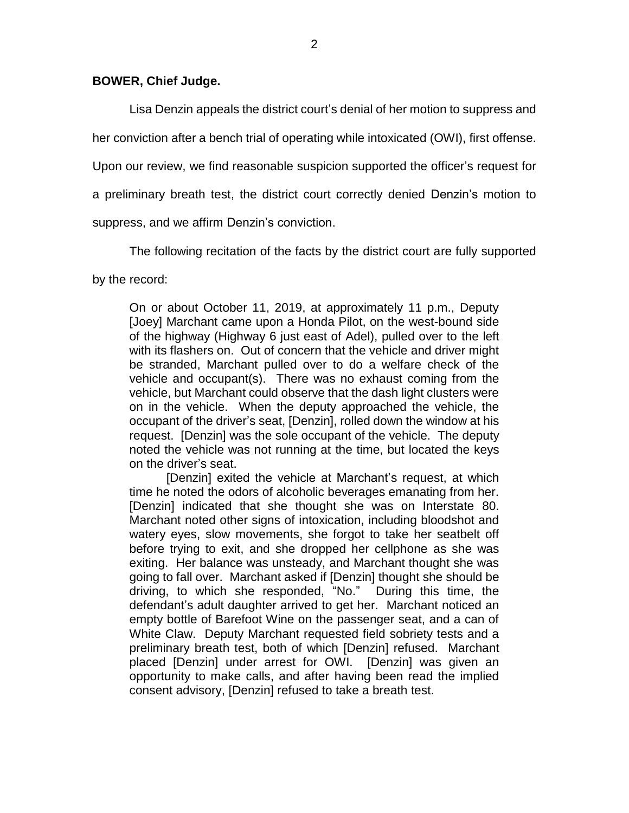### **BOWER, Chief Judge.**

Lisa Denzin appeals the district court's denial of her motion to suppress and

her conviction after a bench trial of operating while intoxicated (OWI), first offense.

Upon our review, we find reasonable suspicion supported the officer's request for

a preliminary breath test, the district court correctly denied Denzin's motion to

suppress, and we affirm Denzin's conviction.

The following recitation of the facts by the district court are fully supported

by the record:

On or about October 11, 2019, at approximately 11 p.m., Deputy [Joey] Marchant came upon a Honda Pilot, on the west-bound side of the highway (Highway 6 just east of Adel), pulled over to the left with its flashers on. Out of concern that the vehicle and driver might be stranded, Marchant pulled over to do a welfare check of the vehicle and occupant(s). There was no exhaust coming from the vehicle, but Marchant could observe that the dash light clusters were on in the vehicle. When the deputy approached the vehicle, the occupant of the driver's seat, [Denzin], rolled down the window at his request. [Denzin] was the sole occupant of the vehicle. The deputy noted the vehicle was not running at the time, but located the keys on the driver's seat.

[Denzin] exited the vehicle at Marchant's request, at which time he noted the odors of alcoholic beverages emanating from her. [Denzin] indicated that she thought she was on Interstate 80. Marchant noted other signs of intoxication, including bloodshot and watery eyes, slow movements, she forgot to take her seatbelt off before trying to exit, and she dropped her cellphone as she was exiting. Her balance was unsteady, and Marchant thought she was going to fall over. Marchant asked if [Denzin] thought she should be driving, to which she responded, "No." During this time, the defendant's adult daughter arrived to get her. Marchant noticed an empty bottle of Barefoot Wine on the passenger seat, and a can of White Claw. Deputy Marchant requested field sobriety tests and a preliminary breath test, both of which [Denzin] refused. Marchant placed [Denzin] under arrest for OWI. [Denzin] was given an opportunity to make calls, and after having been read the implied consent advisory, [Denzin] refused to take a breath test.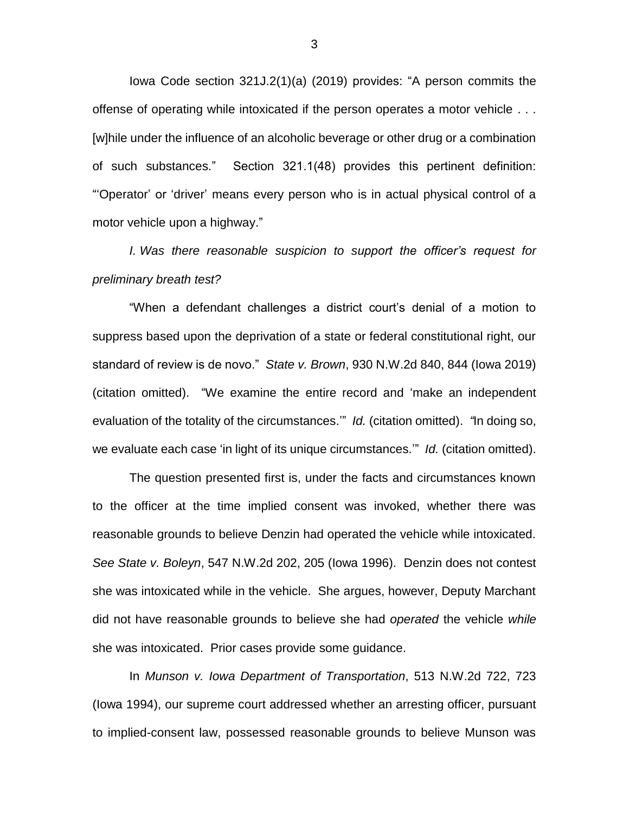Iowa Code section 321J.2(1)(a) (2019) provides: "A person commits the offense of operating while intoxicated if the person operates a motor vehicle . . . [w]hile under the influence of an alcoholic beverage or other drug or a combination of such substances." Section 321.1(48) provides this pertinent definition: "'Operator' or 'driver' means every person who is in actual physical control of a motor vehicle upon a highway."

*I. Was there reasonable suspicion to support the officer's request for preliminary breath test?*

"When a defendant challenges a district court's denial of a motion to suppress based upon the deprivation of a state or federal constitutional right, our standard of review is de novo." *State v. Brown*, 930 N.W.2d 840, 844 (Iowa 2019) (citation omitted). "We examine the entire record and 'make an independent evaluation of the totality of the circumstances.'" *Id.* (citation omitted). *"*In doing so, we evaluate each case 'in light of its unique circumstances.'" *Id.* (citation omitted).

The question presented first is, under the facts and circumstances known to the officer at the time implied consent was invoked, whether there was reasonable grounds to believe Denzin had operated the vehicle while intoxicated. *See State v. Boleyn*, 547 N.W.2d 202, 205 (Iowa 1996). Denzin does not contest she was intoxicated while in the vehicle. She argues, however, Deputy Marchant did not have reasonable grounds to believe she had *operated* the vehicle *while* she was intoxicated. Prior cases provide some guidance.

In *Munson v. Iowa Department of Transportation*, 513 N.W.2d 722, 723 (Iowa 1994), our supreme court addressed whether an arresting officer, pursuant to implied-consent law, possessed reasonable grounds to believe Munson was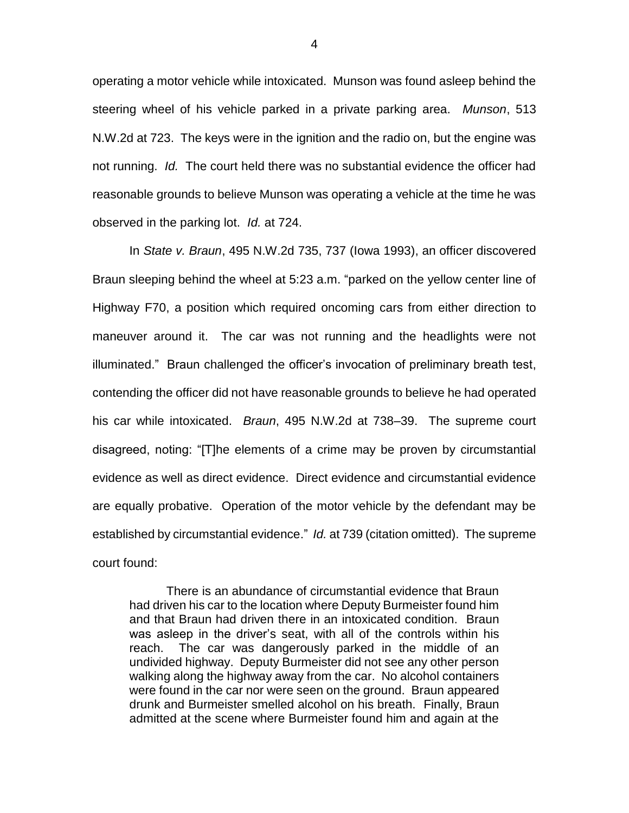operating a motor vehicle while intoxicated. Munson was found asleep behind the steering wheel of his vehicle parked in a private parking area. *Munson*, 513 N.W.2d at 723. The keys were in the ignition and the radio on, but the engine was not running. *Id.* The court held there was no substantial evidence the officer had reasonable grounds to believe Munson was operating a vehicle at the time he was observed in the parking lot. *Id.* at 724.

In *State v. Braun*, 495 N.W.2d 735, 737 (Iowa 1993), an officer discovered Braun sleeping behind the wheel at 5:23 a.m. "parked on the yellow center line of Highway F70, a position which required oncoming cars from either direction to maneuver around it. The car was not running and the headlights were not illuminated." Braun challenged the officer's invocation of preliminary breath test, contending the officer did not have reasonable grounds to believe he had operated his car while intoxicated. *Braun*, 495 N.W.2d at 738–39. The supreme court disagreed, noting: "[T]he elements of a crime may be proven by circumstantial evidence as well as direct evidence. Direct evidence and circumstantial evidence are equally probative. Operation of the motor vehicle by the defendant may be established by circumstantial evidence." *Id.* at 739 (citation omitted). The supreme court found:

There is an abundance of circumstantial evidence that Braun had driven his car to the location where Deputy Burmeister found him and that Braun had driven there in an intoxicated condition. Braun was asleep in the driver's seat, with all of the controls within his reach. The car was dangerously parked in the middle of an undivided highway. Deputy Burmeister did not see any other person walking along the highway away from the car. No alcohol containers were found in the car nor were seen on the ground. Braun appeared drunk and Burmeister smelled alcohol on his breath. Finally, Braun admitted at the scene where Burmeister found him and again at the

4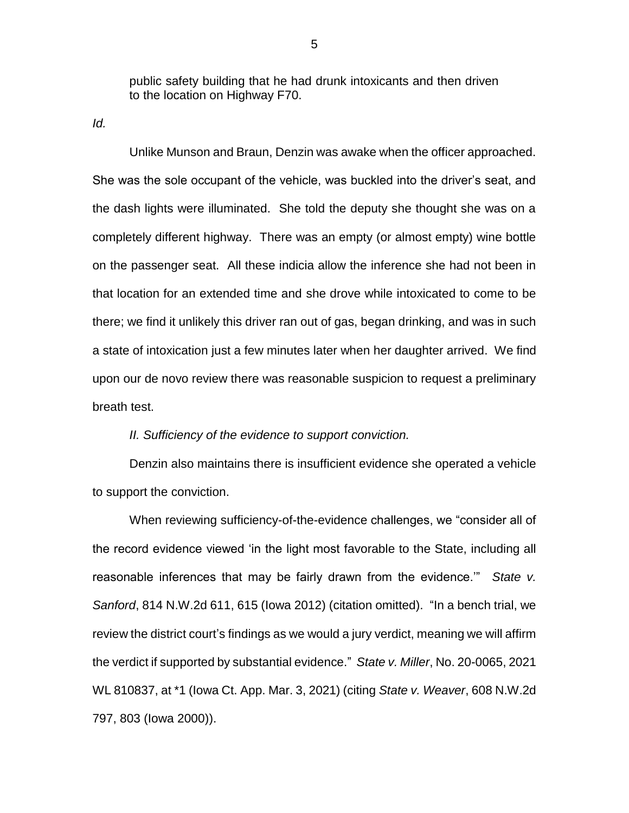public safety building that he had drunk intoxicants and then driven to the location on Highway F70.

*Id.*

Unlike Munson and Braun, Denzin was awake when the officer approached. She was the sole occupant of the vehicle, was buckled into the driver's seat, and the dash lights were illuminated. She told the deputy she thought she was on a completely different highway. There was an empty (or almost empty) wine bottle on the passenger seat. All these indicia allow the inference she had not been in that location for an extended time and she drove while intoxicated to come to be there; we find it unlikely this driver ran out of gas, began drinking, and was in such a state of intoxication just a few minutes later when her daughter arrived. We find upon our de novo review there was reasonable suspicion to request a preliminary breath test.

#### *II. Sufficiency of the evidence to support conviction.*

Denzin also maintains there is insufficient evidence she operated a vehicle to support the conviction.

When reviewing sufficiency-of-the-evidence challenges, we "consider all of the record evidence viewed 'in the light most favorable to the State, including all reasonable inferences that may be fairly drawn from the evidence.'" *State v. Sanford*, 814 N.W.2d 611, 615 (Iowa 2012) (citation omitted). "In a bench trial, we review the district court's findings as we would a jury verdict, meaning we will affirm the verdict if supported by substantial evidence." *State v. Miller*, No. 20-0065, 2021 WL 810837, at \*1 (Iowa Ct. App. Mar. 3, 2021) (citing *State v. Weaver*, 608 N.W.2d 797, 803 (Iowa 2000)).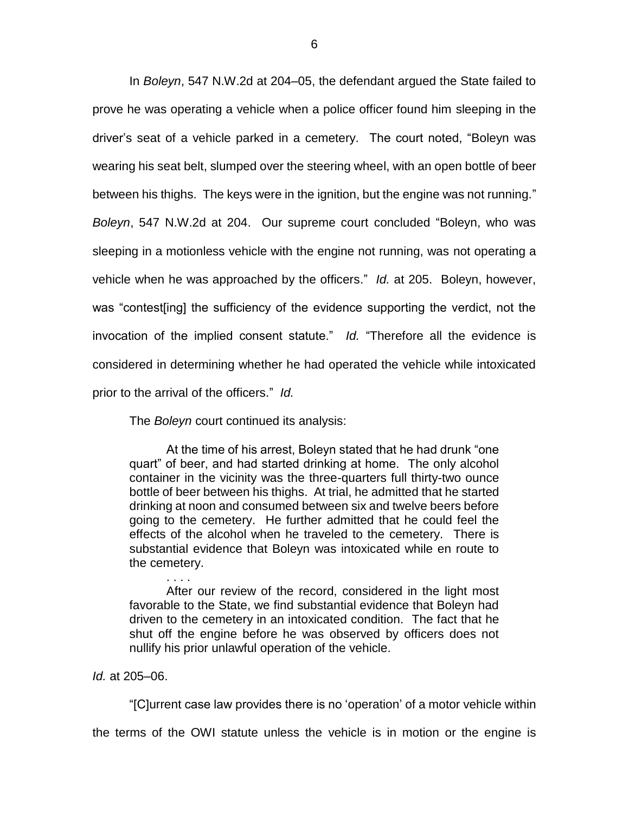In *Boleyn*, 547 N.W.2d at 204–05, the defendant argued the State failed to prove he was operating a vehicle when a police officer found him sleeping in the driver's seat of a vehicle parked in a cemetery. The court noted, "Boleyn was wearing his seat belt, slumped over the steering wheel, with an open bottle of beer between his thighs. The keys were in the ignition, but the engine was not running." *Boleyn*, 547 N.W.2d at 204. Our supreme court concluded "Boleyn, who was sleeping in a motionless vehicle with the engine not running, was not operating a vehicle when he was approached by the officers." *Id.* at 205. Boleyn, however, was "contest[ing] the sufficiency of the evidence supporting the verdict, not the invocation of the implied consent statute." *Id.* "Therefore all the evidence is considered in determining whether he had operated the vehicle while intoxicated prior to the arrival of the officers." *Id.*

The *Boleyn* court continued its analysis:

At the time of his arrest, Boleyn stated that he had drunk "one quart" of beer, and had started drinking at home. The only alcohol container in the vicinity was the three-quarters full thirty-two ounce bottle of beer between his thighs. At trial, he admitted that he started drinking at noon and consumed between six and twelve beers before going to the cemetery. He further admitted that he could feel the effects of the alcohol when he traveled to the cemetery. There is substantial evidence that Boleyn was intoxicated while en route to the cemetery.

After our review of the record, considered in the light most favorable to the State, we find substantial evidence that Boleyn had driven to the cemetery in an intoxicated condition. The fact that he shut off the engine before he was observed by officers does not nullify his prior unlawful operation of the vehicle.

#### *Id.* at 205–06.

"[C]urrent case law provides there is no 'operation' of a motor vehicle within

the terms of the OWI statute unless the vehicle is in motion or the engine is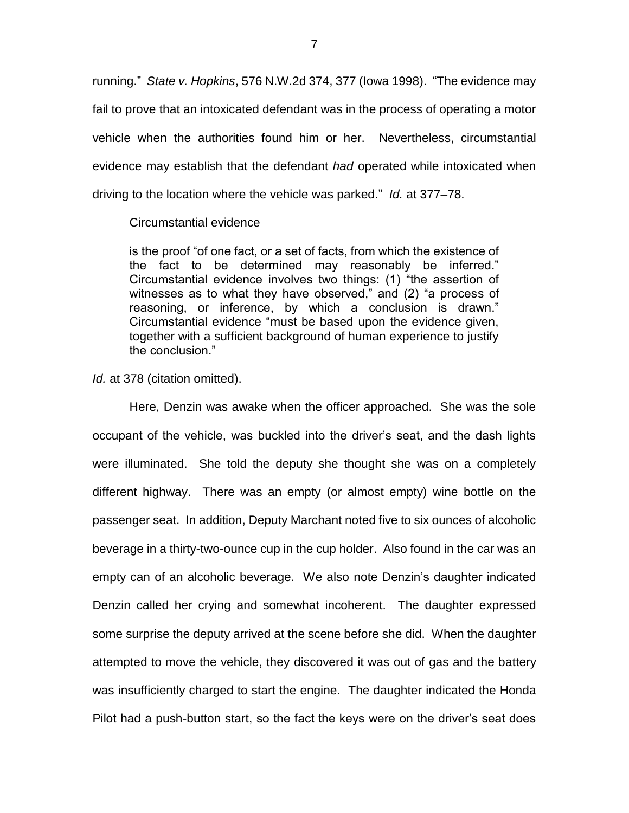running." *State v. Hopkins*, 576 N.W.2d 374, 377 (Iowa 1998). "The evidence may fail to prove that an intoxicated defendant was in the process of operating a motor vehicle when the authorities found him or her. Nevertheless, circumstantial evidence may establish that the defendant *had* operated while intoxicated when driving to the location where the vehicle was parked." *Id.* at 377–78.

#### Circumstantial evidence

is the proof "of one fact, or a set of facts, from which the existence of the fact to be determined may reasonably be inferred." Circumstantial evidence involves two things: (1) "the assertion of witnesses as to what they have observed," and (2) "a process of reasoning, or inference, by which a conclusion is drawn." Circumstantial evidence "must be based upon the evidence given, together with a sufficient background of human experience to justify the conclusion."

*Id.* at 378 (citation omitted).

Here, Denzin was awake when the officer approached. She was the sole occupant of the vehicle, was buckled into the driver's seat, and the dash lights were illuminated. She told the deputy she thought she was on a completely different highway. There was an empty (or almost empty) wine bottle on the passenger seat. In addition, Deputy Marchant noted five to six ounces of alcoholic beverage in a thirty-two-ounce cup in the cup holder. Also found in the car was an empty can of an alcoholic beverage. We also note Denzin's daughter indicated Denzin called her crying and somewhat incoherent. The daughter expressed some surprise the deputy arrived at the scene before she did. When the daughter attempted to move the vehicle, they discovered it was out of gas and the battery was insufficiently charged to start the engine. The daughter indicated the Honda Pilot had a push-button start, so the fact the keys were on the driver's seat does